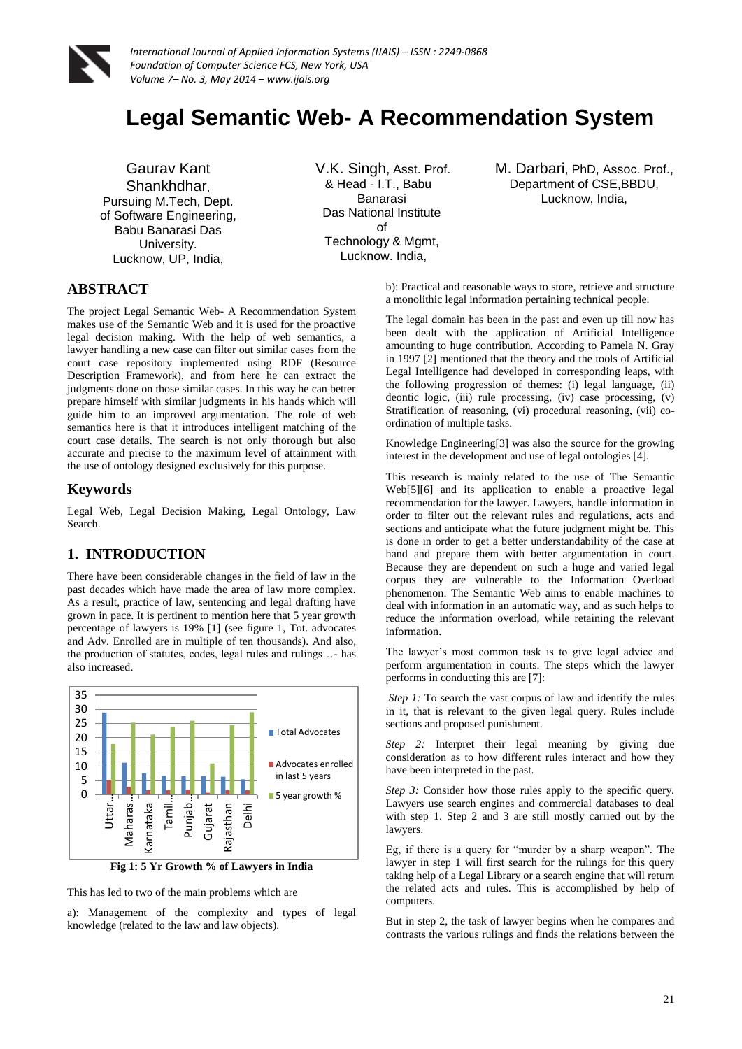

# **Legal Semantic Web- A Recommendation System**

Gaurav Kant Shankhdhar, Pursuing M.Tech, Dept. of Software Engineering, Babu Banarasi Das University. Lucknow, UP, India,

 V.K. Singh, Asst. Prof. & Head - I.T., Babu Banarasi Das National Institute of Technology & Mgmt, Lucknow. India,

M. Darbari, PhD, Assoc. Prof., Department of CSE,BBDU, Lucknow, India,

# **ABSTRACT**

The project Legal Semantic Web- A Recommendation System makes use of the Semantic Web and it is used for the proactive legal decision making. With the help of web semantics, a lawyer handling a new case can filter out similar cases from the court case repository implemented using RDF (Resource Description Framework), and from here he can extract the judgments done on those similar cases. In this way he can better prepare himself with similar judgments in his hands which will guide him to an improved argumentation. The role of web semantics here is that it introduces intelligent matching of the court case details. The search is not only thorough but also accurate and precise to the maximum level of attainment with the use of ontology designed exclusively for this purpose.

#### **Keywords**

Legal Web, Legal Decision Making, Legal Ontology, Law Search.

## **1. INTRODUCTION**

There have been considerable changes in the field of law in the past decades which have made the area of law more complex. As a result, practice of law, sentencing and legal drafting have grown in pace. It is pertinent to mention here that 5 year growth percentage of lawyers is 19% [1] (see figure 1, Tot. advocates and Adv. Enrolled are in multiple of ten thousands). And also, the production of statutes, codes, legal rules and rulings…- has also increased.



**Fig 1: 5 Yr Growth % of Lawyers in India**

This has led to two of the main problems which are

a): Management of the complexity and types of legal knowledge (related to the law and law objects).

b): Practical and reasonable ways to store, retrieve and structure a monolithic legal information pertaining technical people.

The legal domain has been in the past and even up till now has been dealt with the application of Artificial Intelligence amounting to huge contribution. According to Pamela N. Gray in 1997 [2] mentioned that the theory and the tools of Artificial Legal Intelligence had developed in corresponding leaps, with the following progression of themes: (i) legal language, (ii) deontic logic, (iii) rule processing, (iv) case processing, (v) Stratification of reasoning, (vi) procedural reasoning, (vii) coordination of multiple tasks.

Knowledge Engineering[3] was also the source for the growing interest in the development and use of legal ontologies [4].

This research is mainly related to the use of The Semantic Web[5][6] and its application to enable a proactive legal recommendation for the lawyer. Lawyers, handle information in order to filter out the relevant rules and regulations, acts and sections and anticipate what the future judgment might be. This is done in order to get a better understandability of the case at hand and prepare them with better argumentation in court. Because they are dependent on such a huge and varied legal corpus they are vulnerable to the Information Overload phenomenon. The Semantic Web aims to enable machines to deal with information in an automatic way, and as such helps to reduce the information overload, while retaining the relevant information.

The lawyer's most common task is to give legal advice and perform argumentation in courts. The steps which the lawyer performs in conducting this are [7]:

*Step 1:* To search the vast corpus of law and identify the rules in it, that is relevant to the given legal query. Rules include sections and proposed punishment.

*Step 2:* Interpret their legal meaning by giving due consideration as to how different rules interact and how they have been interpreted in the past.

*Step 3:* Consider how those rules apply to the specific query. Lawyers use search engines and commercial databases to deal with step 1. Step 2 and 3 are still mostly carried out by the lawyers.

Eg, if there is a query for "murder by a sharp weapon". The lawyer in step 1 will first search for the rulings for this query taking help of a Legal Library or a search engine that will return the related acts and rules. This is accomplished by help of computers.

But in step 2, the task of lawyer begins when he compares and contrasts the various rulings and finds the relations between the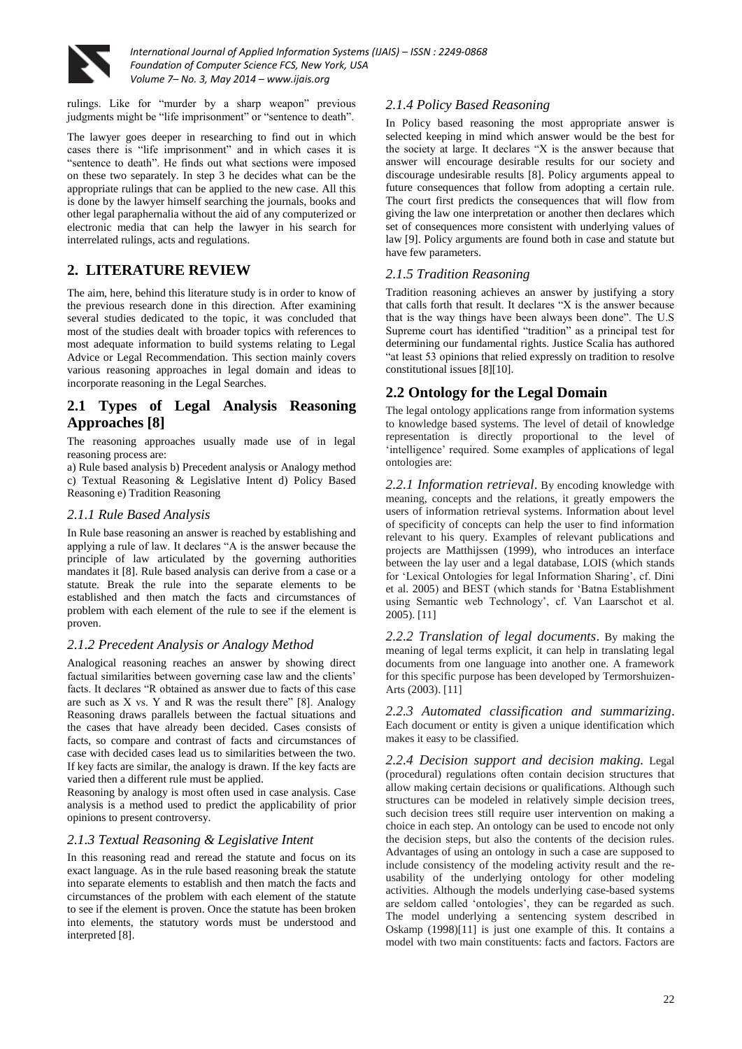

rulings. Like for "murder by a sharp weapon" previous judgments might be "life imprisonment" or "sentence to death".

The lawyer goes deeper in researching to find out in which cases there is "life imprisonment" and in which cases it is "sentence to death". He finds out what sections were imposed on these two separately. In step 3 he decides what can be the appropriate rulings that can be applied to the new case. All this is done by the lawyer himself searching the journals, books and other legal paraphernalia without the aid of any computerized or electronic media that can help the lawyer in his search for interrelated rulings, acts and regulations.

# **2. LITERATURE REVIEW**

The aim, here, behind this literature study is in order to know of the previous research done in this direction. After examining several studies dedicated to the topic, it was concluded that most of the studies dealt with broader topics with references to most adequate information to build systems relating to Legal Advice or Legal Recommendation. This section mainly covers various reasoning approaches in legal domain and ideas to incorporate reasoning in the Legal Searches.

# **2.1 Types of Legal Analysis Reasoning Approaches [8]**

The reasoning approaches usually made use of in legal reasoning process are:

a) Rule based analysis b) Precedent analysis or Analogy method c) Textual Reasoning & Legislative Intent d) Policy Based Reasoning e) Tradition Reasoning

#### *2.1.1 Rule Based Analysis*

In Rule base reasoning an answer is reached by establishing and applying a rule of law. It declares "A is the answer because the principle of law articulated by the governing authorities mandates it [8]. Rule based analysis can derive from a case or a statute. Break the rule into the separate elements to be established and then match the facts and circumstances of problem with each element of the rule to see if the element is proven.

#### *2.1.2 Precedent Analysis or Analogy Method*

Analogical reasoning reaches an answer by showing direct factual similarities between governing case law and the clients' facts. It declares "R obtained as answer due to facts of this case are such as  $X$  vs. Y and R was the result there" [8]. Analogy Reasoning draws parallels between the factual situations and the cases that have already been decided. Cases consists of facts, so compare and contrast of facts and circumstances of case with decided cases lead us to similarities between the two. If key facts are similar, the analogy is drawn. If the key facts are varied then a different rule must be applied.

Reasoning by analogy is most often used in case analysis. Case analysis is a method used to predict the applicability of prior opinions to present controversy.

#### *2.1.3 Textual Reasoning & Legislative Intent*

In this reasoning read and reread the statute and focus on its exact language. As in the rule based reasoning break the statute into separate elements to establish and then match the facts and circumstances of the problem with each element of the statute to see if the element is proven. Once the statute has been broken into elements, the statutory words must be understood and interpreted [8].

#### *2.1.4 Policy Based Reasoning*

In Policy based reasoning the most appropriate answer is selected keeping in mind which answer would be the best for the society at large. It declares "X is the answer because that answer will encourage desirable results for our society and discourage undesirable results [8]. Policy arguments appeal to future consequences that follow from adopting a certain rule. The court first predicts the consequences that will flow from giving the law one interpretation or another then declares which set of consequences more consistent with underlying values of law [9]. Policy arguments are found both in case and statute but have few parameters.

#### *2.1.5 Tradition Reasoning*

Tradition reasoning achieves an answer by justifying a story that calls forth that result. It declares "X is the answer because that is the way things have been always been done". The U.S Supreme court has identified "tradition" as a principal test for determining our fundamental rights. Justice Scalia has authored "at least 53 opinions that relied expressly on tradition to resolve constitutional issues [8][10].

## **2.2 Ontology for the Legal Domain**

The legal ontology applications range from information systems to knowledge based systems. The level of detail of knowledge representation is directly proportional to the level of 'intelligence' required. Some examples of applications of legal ontologies are:

*2.2.1 Information retrieval*. By encoding knowledge with meaning, concepts and the relations, it greatly empowers the users of information retrieval systems. Information about level of specificity of concepts can help the user to find information relevant to his query. Examples of relevant publications and projects are Matthijssen (1999), who introduces an interface between the lay user and a legal database, LOIS (which stands for 'Lexical Ontologies for legal Information Sharing', cf. Dini et al. 2005) and BEST (which stands for 'Batna Establishment using Semantic web Technology', cf. Van Laarschot et al. 2005). [11]

*2.2.2 Translation of legal documents*. By making the meaning of legal terms explicit, it can help in translating legal documents from one language into another one. A framework for this specific purpose has been developed by Termorshuizen-Arts (2003). [11]

*2.2.3 Automated classification and summarizing*. Each document or entity is given a unique identification which makes it easy to be classified.

*2.2.4 Decision support and decision making.* Legal (procedural) regulations often contain decision structures that allow making certain decisions or qualifications. Although such structures can be modeled in relatively simple decision trees, such decision trees still require user intervention on making a choice in each step. An ontology can be used to encode not only the decision steps, but also the contents of the decision rules. Advantages of using an ontology in such a case are supposed to include consistency of the modeling activity result and the reusability of the underlying ontology for other modeling activities. Although the models underlying case-based systems are seldom called 'ontologies', they can be regarded as such. The model underlying a sentencing system described in Oskamp (1998)[11] is just one example of this. It contains a model with two main constituents: facts and factors. Factors are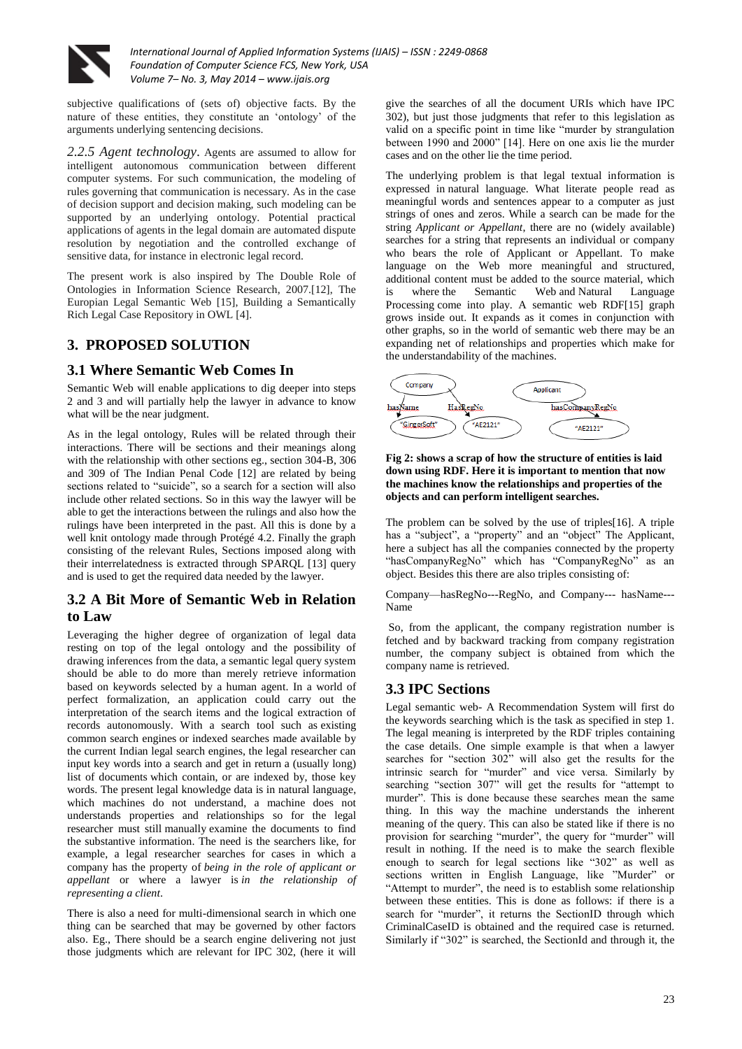

subjective qualifications of (sets of) objective facts. By the nature of these entities, they constitute an 'ontology' of the arguments underlying sentencing decisions.

*2.2.5 Agent technology*. Agents are assumed to allow for intelligent autonomous communication between different computer systems. For such communication, the modeling of rules governing that communication is necessary. As in the case of decision support and decision making, such modeling can be supported by an underlying ontology. Potential practical applications of agents in the legal domain are automated dispute resolution by negotiation and the controlled exchange of sensitive data, for instance in electronic legal record.

The present work is also inspired by The Double Role of Ontologies in Information Science Research, 2007.[12], The Europian Legal Semantic Web [15], Building a Semantically Rich Legal Case Repository in OWL [4].

# **3. PROPOSED SOLUTION**

#### **3.1 Where Semantic Web Comes In**

Semantic Web will enable applications to dig deeper into steps 2 and 3 and will partially help the lawyer in advance to know what will be the near judgment.

As in the legal ontology, Rules will be related through their interactions. There will be sections and their meanings along with the relationship with other sections eg., section 304-B, 306 and 309 of The Indian Penal Code [12] are related by being sections related to "suicide", so a search for a section will also include other related sections. So in this way the lawyer will be able to get the interactions between the rulings and also how the rulings have been interpreted in the past. All this is done by a well knit ontology made through Protégé 4.2. Finally the graph consisting of the relevant Rules, Sections imposed along with their interrelatedness is extracted through SPARQL [13] query and is used to get the required data needed by the lawyer.

## **3.2 A Bit More of Semantic Web in Relation to Law**

Leveraging the higher degree of organization of legal data resting on top of the legal ontology and the possibility of drawing inferences from the data, a semantic legal query system should be able to do more than merely retrieve information based on keywords selected by a human agent. In a world of perfect formalization, an application could carry out the interpretation of the search items and the logical extraction of records autonomously. With a search tool such as existing common search engines or indexed searches made available by the current Indian legal search engines, the legal researcher can input key words into a search and get in return a (usually long) list of documents which contain, or are indexed by, those key words. The present legal knowledge data is in natural language, which machines do not understand, a machine does not understands properties and relationships so for the legal researcher must still manually examine the documents to find the substantive information. The need is the searchers like, for example, a legal researcher searches for cases in which a company has the property of *being in the role of applicant or appellant* or where a lawyer is *in the relationship of representing a client*.

There is also a need for multi-dimensional search in which one thing can be searched that may be governed by other factors also. Eg., There should be a search engine delivering not just those judgments which are relevant for IPC 302, (here it will

give the searches of all the document URIs which have IPC 302), but just those judgments that refer to this legislation as valid on a specific point in time like "murder by strangulation between 1990 and 2000" [14]. Here on one axis lie the murder cases and on the other lie the time period.

The underlying problem is that legal textual information is expressed in natural language. What literate people read as meaningful words and sentences appear to a computer as just strings of ones and zeros. While a search can be made for the string *Applicant or Appellant*, there are no (widely available) searches for a string that represents an individual or company who bears the role of Applicant or Appellant. To make language on the Web more meaningful and structured, additional content must be added to the source material, which is where the Semantic Web and Natural Language Processing come into play. A semantic web RDF[15] graph grows inside out. It expands as it comes in conjunction with other graphs, so in the world of semantic web there may be an expanding net of relationships and properties which make for the understandability of the machines.



**Fig 2: shows a scrap of how the structure of entities is laid down using RDF. Here it is important to mention that now the machines know the relationships and properties of the objects and can perform intelligent searches.**

The problem can be solved by the use of triples[16]. A triple has a "subject", a "property" and an "object" The Applicant, here a subject has all the companies connected by the property "hasCompanyRegNo" which has "CompanyRegNo" as an object. Besides this there are also triples consisting of:

Company—hasRegNo---RegNo, and Company--- hasName--- Name

So, from the applicant, the company registration number is fetched and by backward tracking from company registration number, the company subject is obtained from which the company name is retrieved.

## **3.3 IPC Sections**

Legal semantic web- A Recommendation System will first do the keywords searching which is the task as specified in step 1. The legal meaning is interpreted by the RDF triples containing the case details. One simple example is that when a lawyer searches for "section  $302$ " will also get the results for the intrinsic search for "murder" and vice versa. Similarly by searching "section 307" will get the results for "attempt to murder". This is done because these searches mean the same thing. In this way the machine understands the inherent meaning of the query. This can also be stated like if there is no provision for searching "murder", the query for "murder" will result in nothing. If the need is to make the search flexible enough to search for legal sections like "302" as well as sections written in English Language, like "Murder" or "Attempt to murder", the need is to establish some relationship between these entities. This is done as follows: if there is a search for "murder", it returns the SectionID through which CriminalCaseID is obtained and the required case is returned. Similarly if "302" is searched, the SectionId and through it, the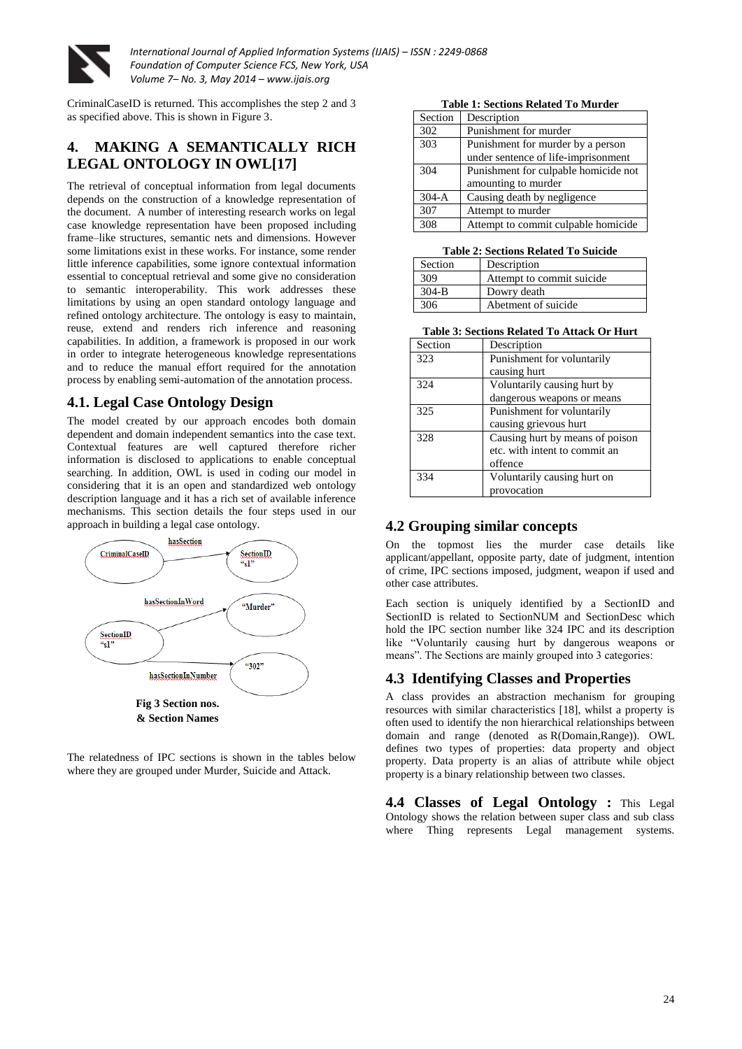

CriminalCaseID is returned. This accomplishes the step 2 and 3 as specified above. This is shown in Figure 3.

# **4. MAKING A SEMANTICALLY RICH LEGAL ONTOLOGY IN OWL[17]**

The retrieval of conceptual information from legal documents depends on the construction of a knowledge representation of the document. A number of interesting research works on legal case knowledge representation have been proposed including frame–like structures, semantic nets and dimensions. However some limitations exist in these works. For instance, some render little inference capabilities, some ignore contextual information essential to conceptual retrieval and some give no consideration to semantic interoperability. This work addresses these limitations by using an open standard ontology language and refined ontology architecture. The ontology is easy to maintain, reuse, extend and renders rich inference and reasoning capabilities. In addition, a framework is proposed in our work in order to integrate heterogeneous knowledge representations and to reduce the manual effort required for the annotation process by enabling semi-automation of the annotation process.

# **4.1. Legal Case Ontology Design**

The model created by our approach encodes both domain dependent and domain independent semantics into the case text. Contextual features are well captured therefore richer information is disclosed to applications to enable conceptual searching. In addition, OWL is used in coding our model in considering that it is an open and standardized web ontology description language and it has a rich set of available inference mechanisms. This section details the four steps used in our approach in building a legal case ontology.



The relatedness of IPC sections is shown in the tables below where they are grouped under Murder, Suicide and Attack.

**Table 1: Sections Related To Murder**

| Section | Description                          |
|---------|--------------------------------------|
| 302     | Punishment for murder                |
| 303     | Punishment for murder by a person    |
|         | under sentence of life-imprisonment  |
| 304     | Punishment for culpable homicide not |
|         | amounting to murder                  |
| $304-A$ | Causing death by negligence          |
| 307     | Attempt to murder                    |
| 308     | Attempt to commit culpable homicide  |

#### **Table 2: Sections Related To Suicide**

| Section | Description               |
|---------|---------------------------|
| 309     | Attempt to commit suicide |
| $304-B$ | Dowry death               |
| 306     | Abetment of suicide       |

| Section | Description                     |
|---------|---------------------------------|
| 323     | Punishment for voluntarily      |
|         | causing hurt                    |
| 324     | Voluntarily causing hurt by     |
|         | dangerous weapons or means      |
| 325     | Punishment for voluntarily      |
|         | causing grievous hurt           |
| 328     | Causing hurt by means of poison |
|         | etc. with intent to commit an   |
|         | offence                         |
| 334     | Voluntarily causing hurt on     |
|         | provocation                     |

## **4.2 Grouping similar concepts**

On the topmost lies the murder case details like applicant/appellant, opposite party, date of judgment, intention of crime, IPC sections imposed, judgment, weapon if used and other case attributes.

Each section is uniquely identified by a SectionID and SectionID is related to SectionNUM and SectionDesc which hold the IPC section number like 324 IPC and its description like "Voluntarily causing hurt by dangerous weapons or means". The Sections are mainly grouped into 3 categories:

## **4.3 Identifying Classes and Properties**

A class provides an abstraction mechanism for grouping resources with similar characteristics [18], whilst a property is often used to identify the non hierarchical relationships between domain and range (denoted as R(Domain,Range)). OWL defines two types of properties: data property and object property. Data property is an alias of attribute while object property is a binary relationship between two classes.

**4.4 Classes of Legal Ontology :** This Legal Ontology shows the relation between super class and sub class where Thing represents Legal management systems.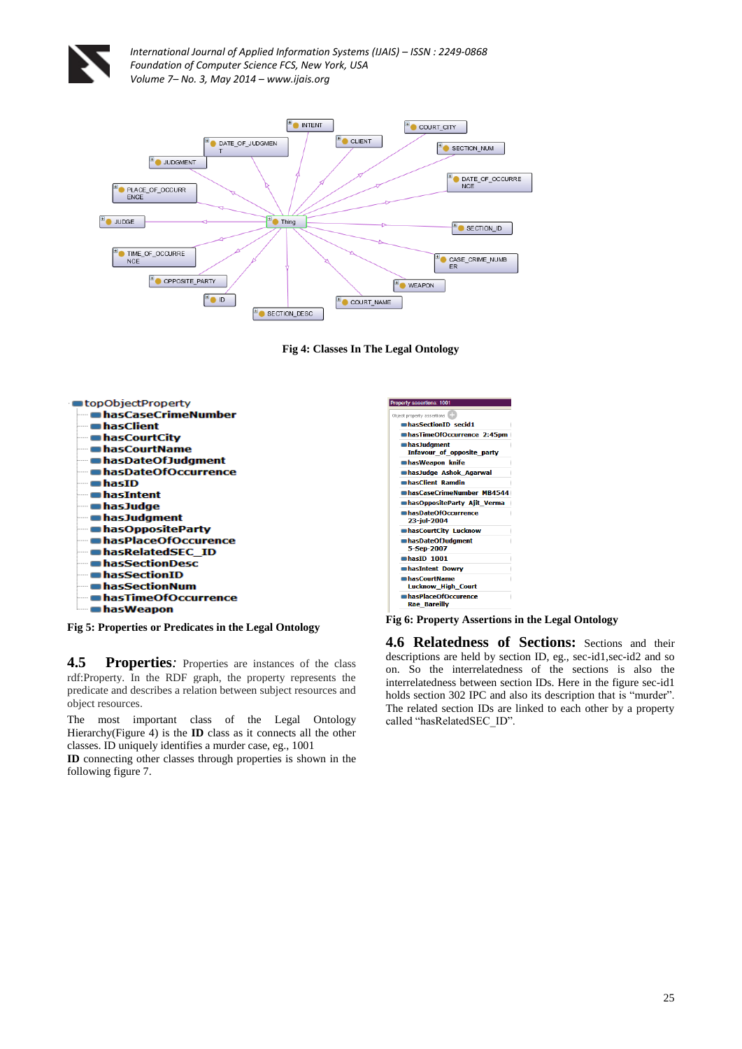



**Fig 4: Classes In The Legal Ontology**



**Fig 5: Properties or Predicates in the Legal Ontology**

**4.5 Properties***:* Properties are instances of the class rdf:Property. In the RDF graph, the property represents the predicate and describes a relation between subject resources and object resources.

The most important class of the Legal Ontology Hierarchy(Figure 4) is the **ID** class as it connects all the other classes. ID uniquely identifies a murder case, eg., 1001

**ID** connecting other classes through properties is shown in the following figure 7.

| roperty assertions: 1001                    |
|---------------------------------------------|
| Object property assertions                  |
| hasSectionID secid1                         |
| hasTimeOfOccurrence 2:45pm                  |
| hasJudgment<br>Infavour of opposite party   |
| hasWeapon knife                             |
| hasJudge Ashok Agarwal                      |
| hasClient Ramdin                            |
| hasCaseCrimeNumber MB4544                   |
| hasOppositeParty Ajit_Verma                 |
| hasDateOfOccurrence<br>23-jul-2004          |
| hasCourtCity Lucknow                        |
| masDateOfJudgment<br>5-Sep-2007             |
| h <sub>asID</sub> 1001                      |
| hasIntent Dowry                             |
| ■ hasCourtName<br><b>Lucknow High Court</b> |
| hasPlaceOfOccurence<br><b>Rae Bareilly</b>  |

**Fig 6: Property Assertions in the Legal Ontology**

**4.6 Relatedness of Sections:** Sections and their descriptions are held by section ID, eg., sec-id1,sec-id2 and so on. So the interrelatedness of the sections is also the interrelatedness between section IDs. Here in the figure sec-id1 holds section 302 IPC and also its description that is "murder". The related section IDs are linked to each other by a property called "hasRelatedSEC\_ID".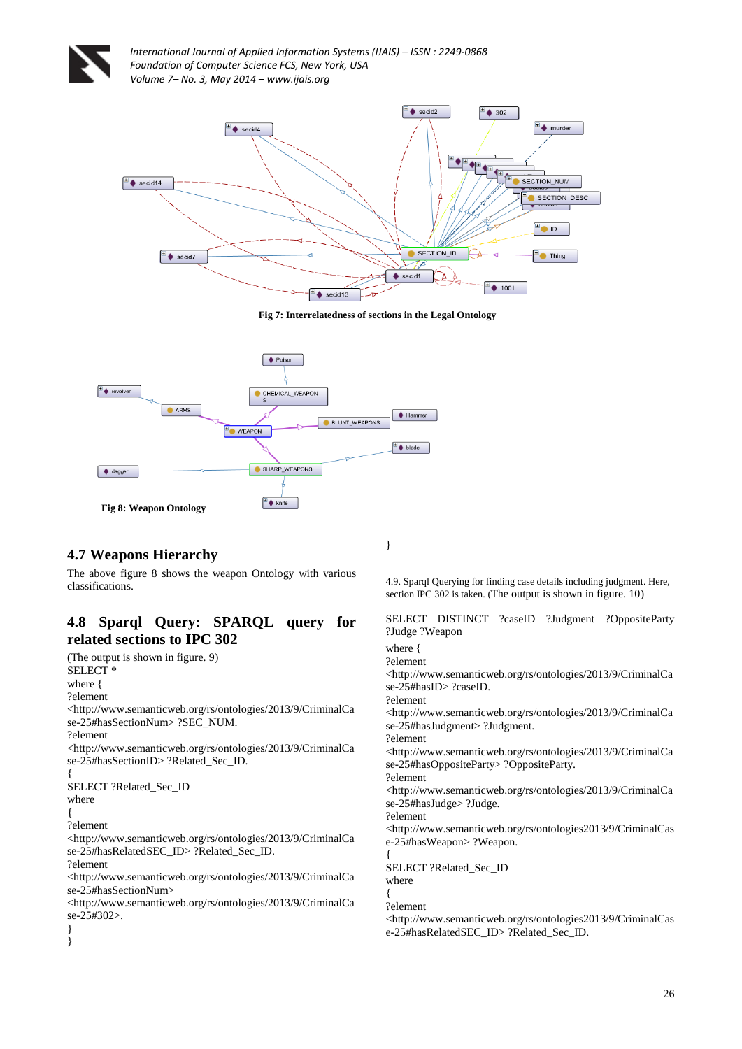

**Fig 7: Interrelatedness of sections in the Legal Ontology**



#### **4.7 Weapons Hierarchy**

The above figure 8 shows the weapon Ontology with various classifications.

# **4.8 Sparql Query: SPARQL query for related sections to IPC 302**

(The output is shown in figure. 9) SELECT \* where { ?element <http://www.semanticweb.org/rs/ontologies/2013/9/CriminalCa se-25#hasSectionNum> ?SEC\_NUM. ?element <http://www.semanticweb.org/rs/ontologies/2013/9/CriminalCa se-25#hasSectionID> ?Related\_Sec\_ID. { SELECT ?Related\_Sec\_ID where { ?element <http://www.semanticweb.org/rs/ontologies/2013/9/CriminalCa se-25#hasRelatedSEC\_ID> ?Related\_Sec\_ID. ?element <http://www.semanticweb.org/rs/ontologies/2013/9/CriminalCa se-25#hasSectionNum> <http://www.semanticweb.org/rs/ontologies/2013/9/CriminalCa se-25#302>. } }

}

{

{

4.9. Sparql Querying for finding case details including judgment. Here, section IPC 302 is taken. (The output is shown in figure. 10)

SELECT DISTINCT ?caseID ?Judgment ?OppositeParty ?Judge ?Weapon

where { ?element <http://www.semanticweb.org/rs/ontologies/2013/9/CriminalCa se-25#hasID> ?caseID. ?element <http://www.semanticweb.org/rs/ontologies/2013/9/CriminalCa se-25#hasJudgment> ?Judgment. ?element <http://www.semanticweb.org/rs/ontologies/2013/9/CriminalCa se-25#hasOppositeParty> ?OppositeParty. ?element <http://www.semanticweb.org/rs/ontologies/2013/9/CriminalCa se-25#hasJudge> ?Judge. ?element <http://www.semanticweb.org/rs/ontologies2013/9/CriminalCas e-25#hasWeapon> ?Weapon. SELECT ?Related\_Sec\_ID where ?element <http://www.semanticweb.org/rs/ontologies2013/9/CriminalCas

e-25#hasRelatedSEC\_ID> ?Related\_Sec\_ID.